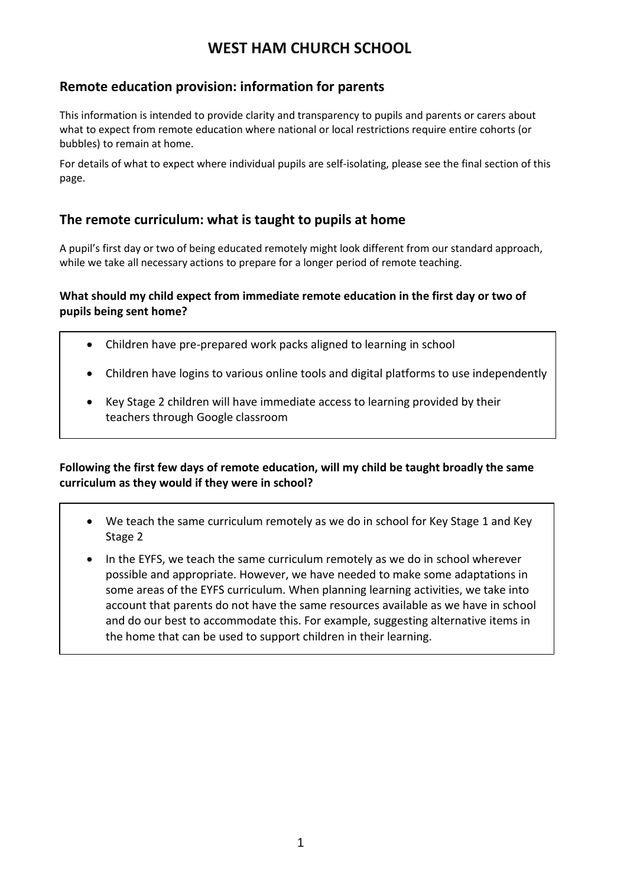## **Remote education provision: information for parents**

This information is intended to provide clarity and transparency to pupils and parents or carers about what to expect from remote education where national or local restrictions require entire cohorts (or bubbles) to remain at home.

For details of what to expect where individual pupils are self-isolating, please see the final section of this page.

## **The remote curriculum: what is taught to pupils at home**

A pupil's first day or two of being educated remotely might look different from our standard approach, while we take all necessary actions to prepare for a longer period of remote teaching.

### **What should my child expect from immediate remote education in the first day or two of pupils being sent home?**

- Children have pre-prepared work packs aligned to learning in school
- Children have logins to various online tools and digital platforms to use independently
- Key Stage 2 children will have immediate access to learning provided by their teachers through Google classroom

## **Following the first few days of remote education, will my child be taught broadly the same curriculum as they would if they were in school?**

- We teach the same curriculum remotely as we do in school for Key Stage 1 and Key Stage 2
- In the EYFS, we teach the same curriculum remotely as we do in school wherever possible and appropriate. However, we have needed to make some adaptations in some areas of the EYFS curriculum. When planning learning activities, we take into account that parents do not have the same resources available as we have in school and do our best to accommodate this. For example, suggesting alternative items in the home that can be used to support children in their learning.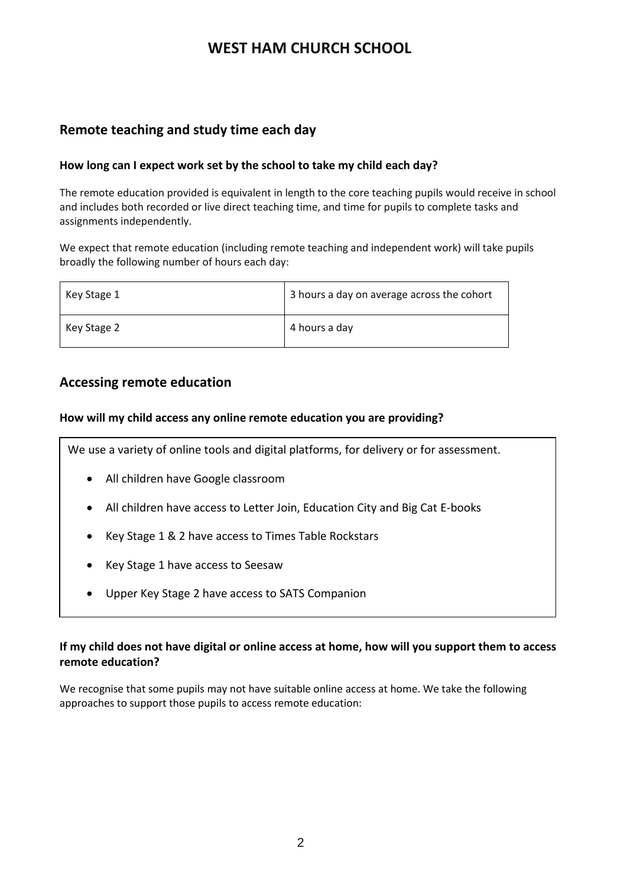## **Remote teaching and study time each day**

#### **How long can I expect work set by the school to take my child each day?**

The remote education provided is equivalent in length to the core teaching pupils would receive in school and includes both recorded or live direct teaching time, and time for pupils to complete tasks and assignments independently.

We expect that remote education (including remote teaching and independent work) will take pupils broadly the following number of hours each day:

| Key Stage 1 | 3 hours a day on average across the cohort |
|-------------|--------------------------------------------|
| Key Stage 2 | 4 hours a day                              |

## **Accessing remote education**

#### **How will my child access any online remote education you are providing?**

We use a variety of online tools and digital platforms, for delivery or for assessment.

- All children have Google classroom
- All children have access to Letter Join, Education City and Big Cat E-books
- Key Stage 1 & 2 have access to Times Table Rockstars
- Key Stage 1 have access to Seesaw
- Upper Key Stage 2 have access to SATS Companion

#### **If my child does not have digital or online access at home, how will you support them to access remote education?**

We recognise that some pupils may not have suitable online access at home. We take the following approaches to support those pupils to access remote education: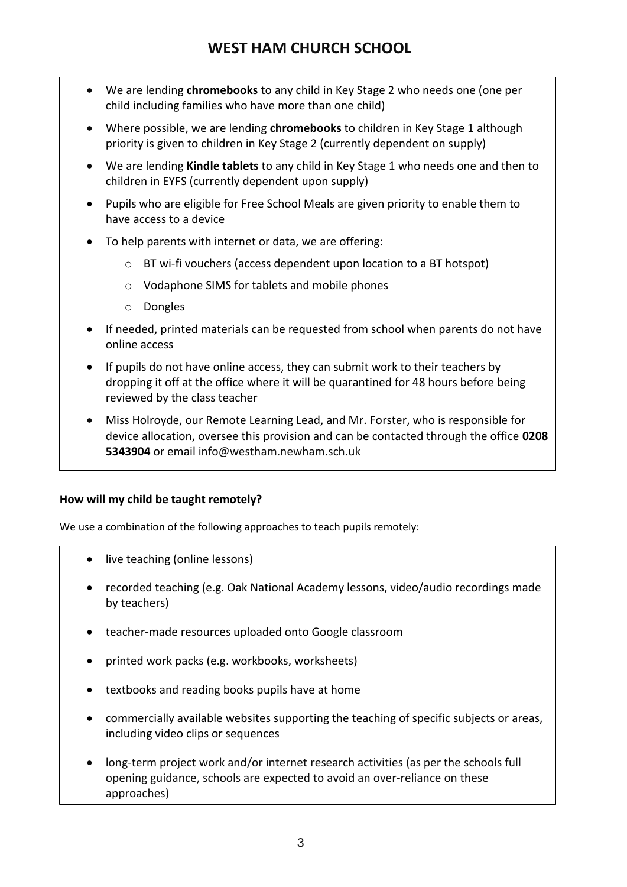- We are lending **chromebooks** to any child in Key Stage 2 who needs one (one per child including families who have more than one child)
- Where possible, we are lending **chromebooks** to children in Key Stage 1 although priority is given to children in Key Stage 2 (currently dependent on supply)
- We are lending **Kindle tablets** to any child in Key Stage 1 who needs one and then to children in EYFS (currently dependent upon supply)
- Pupils who are eligible for Free School Meals are given priority to enable them to have access to a device
- To help parents with internet or data, we are offering:
	- o BT wi-fi vouchers (access dependent upon location to a BT hotspot)
	- o Vodaphone SIMS for tablets and mobile phones
	- o Dongles
- If needed, printed materials can be requested from school when parents do not have online access
- If pupils do not have online access, they can submit work to their teachers by dropping it off at the office where it will be quarantined for 48 hours before being reviewed by the class teacher
- Miss Holroyde, our Remote Learning Lead, and Mr. Forster, who is responsible for device allocation, oversee this provision and can be contacted through the office **0208 5343904** or email [info@westham.newham.sch.uk](mailto:info@westham.newham.sch.uk)

### **How will my child be taught remotely?**

We use a combination of the following approaches to teach pupils remotely:

- live teaching (online lessons)
- recorded teaching (e.g. Oak National Academy lessons, video/audio recordings made by teachers)
- teacher-made resources uploaded onto Google classroom
- printed work packs (e.g. workbooks, worksheets)
- textbooks and reading books pupils have at home
- commercially available websites supporting the teaching of specific subjects or areas, including video clips or sequences
- long-term project work and/or internet research activities (as per the [schools full](https://www.gov.uk/government/publications/actions-for-schools-during-the-coronavirus-outbreak/guidance-for-full-opening-schools#res)  [opening guidance,](https://www.gov.uk/government/publications/actions-for-schools-during-the-coronavirus-outbreak/guidance-for-full-opening-schools#res) schools are expected to avoid an over-reliance on these approaches)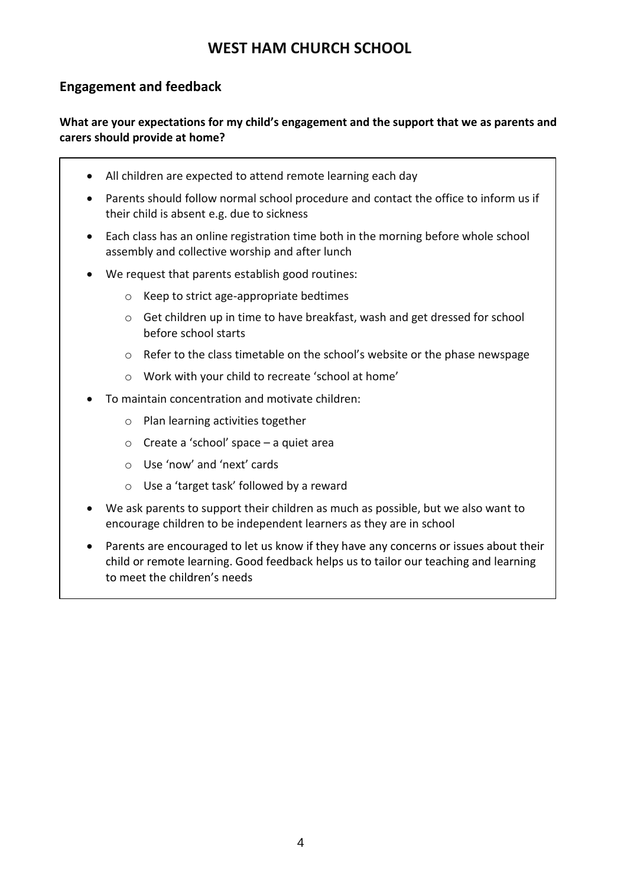# **Engagement and feedback**

## **What are your expectations for my child's engagement and the support that we as parents and carers should provide at home?**

- All children are expected to attend remote learning each day
- Parents should follow normal school procedure and contact the office to inform us if their child is absent e.g. due to sickness
- Each class has an online registration time both in the morning before whole school assembly and collective worship and after lunch
- We request that parents establish good routines:
	- o Keep to strict age-appropriate bedtimes
	- o Get children up in time to have breakfast, wash and get dressed for school before school starts
	- $\circ$  Refer to the class timetable on the school's website or the phase newspage
	- o Work with your child to recreate 'school at home'
- To maintain concentration and motivate children:
	- o Plan learning activities together
	- $\circ$  Create a 'school' space a quiet area
	- o Use 'now' and 'next' cards
	- o Use a 'target task' followed by a reward
- We ask parents to support their children as much as possible, but we also want to encourage children to be independent learners as they are in school
- Parents are encouraged to let us know if they have any concerns or issues about their child or remote learning. Good feedback helps us to tailor our teaching and learning to meet the children's needs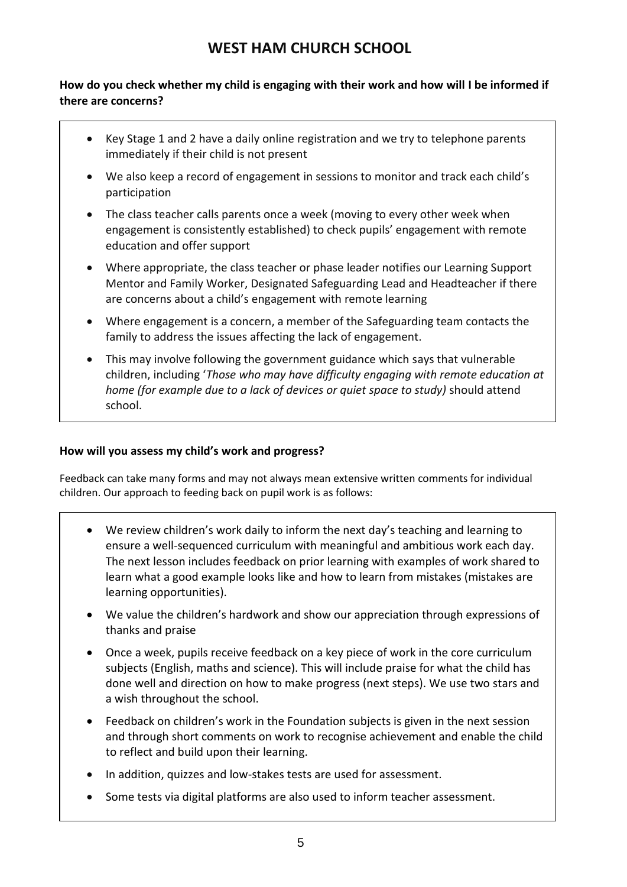## **How do you check whether my child is engaging with their work and how will I be informed if there are concerns?**

- Key Stage 1 and 2 have a daily online registration and we try to telephone parents immediately if their child is not present
- We also keep a record of engagement in sessions to monitor and track each child's participation
- The class teacher calls parents once a week (moving to every other week when engagement is consistently established) to check pupils' engagement with remote education and offer support
- Where appropriate, the class teacher or phase leader notifies our Learning Support Mentor and Family Worker, Designated Safeguarding Lead and Headteacher if there are concerns about a child's engagement with remote learning
- Where engagement is a concern, a member of the Safeguarding team contacts the family to address the issues affecting the lack of engagement.
- This may involve following the government guidance which says that vulnerable children, including '*Those who may have difficulty engaging with remote education at home (for example due to a lack of devices or quiet space to study)* should attend school.

### **How will you assess my child's work and progress?**

Feedback can take many forms and may not always mean extensive written comments for individual children. Our approach to feeding back on pupil work is as follows:

- We review children's work daily to inform the next day's teaching and learning to ensure a well-sequenced curriculum with meaningful and ambitious work each day. The next lesson includes feedback on prior learning with examples of work shared to learn what a good example looks like and how to learn from mistakes (mistakes are learning opportunities).
- We value the children's hardwork and show our appreciation through expressions of thanks and praise
- Once a week, pupils receive feedback on a key piece of work in the core curriculum subjects (English, maths and science). This will include praise for what the child has done well and direction on how to make progress (next steps). We use two stars and a wish throughout the school.
- Feedback on children's work in the Foundation subjects is given in the next session and through short comments on work to recognise achievement and enable the child to reflect and build upon their learning.
- In addition, quizzes and low-stakes tests are used for assessment.
- Some tests via digital platforms are also used to inform teacher assessment.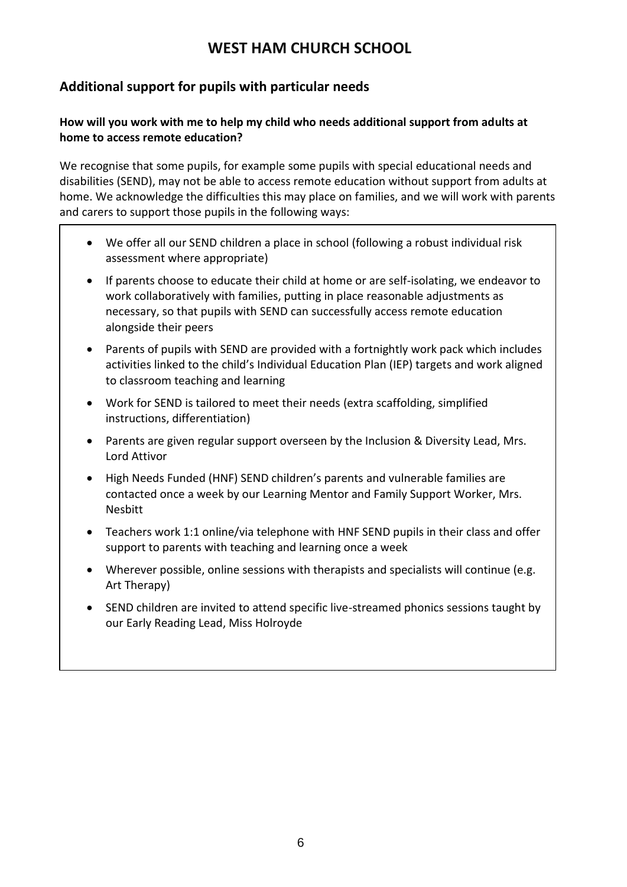# **Additional support for pupils with particular needs**

### **How will you work with me to help my child who needs additional support from adults at home to access remote education?**

We recognise that some pupils, for example some pupils with special educational needs and disabilities (SEND), may not be able to access remote education without support from adults at home. We acknowledge the difficulties this may place on families, and we will work with parents and carers to support those pupils in the following ways:

- We offer all our SEND children a place in school (following a robust individual risk assessment where appropriate)
- If parents choose to educate their child at home or are self-isolating, we endeavor to work collaboratively with families, putting in place reasonable adjustments as necessary, so that pupils with SEND can successfully access remote education alongside their peers
- Parents of pupils with SEND are provided with a fortnightly work pack which includes activities linked to the child's Individual Education Plan (IEP) targets and work aligned to classroom teaching and learning
- Work for SEND is tailored to meet their needs (extra scaffolding, simplified instructions, differentiation)
- Parents are given regular support overseen by the Inclusion & Diversity Lead, Mrs. Lord Attivor
- High Needs Funded (HNF) SEND children's parents and vulnerable families are contacted once a week by our Learning Mentor and Family Support Worker, Mrs. Nesbitt
- Teachers work 1:1 online/via telephone with HNF SEND pupils in their class and offer support to parents with teaching and learning once a week
- Wherever possible, online sessions with therapists and specialists will continue (e.g. Art Therapy)
- SEND children are invited to attend specific live-streamed phonics sessions taught by our Early Reading Lead, Miss Holroyde